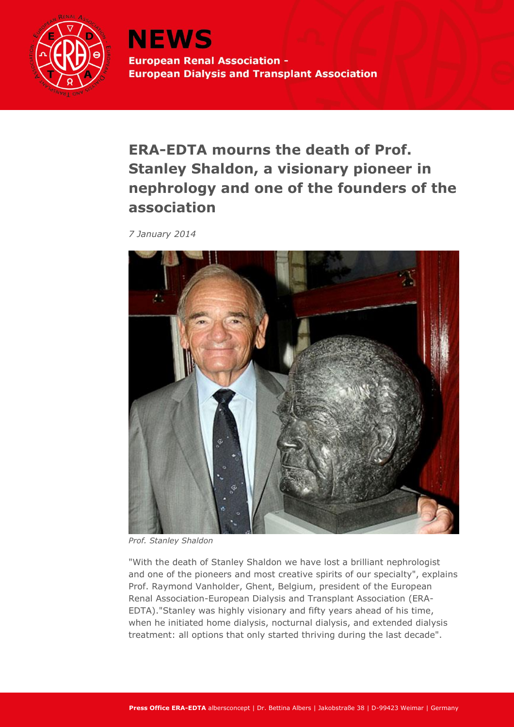

**NEWS European Renal Association -European Dialysis and Transplant Association** 

**ERA-EDTA mourns the death of Prof. Stanley Shaldon, a visionary pioneer in nephrology and one of the founders of the association**

*7 January 2014*



*Prof. Stanley Shaldon*

"With the death of Stanley Shaldon we have lost a brilliant nephrologist and one of the pioneers and most creative spirits of our specialty", explains Prof. Raymond Vanholder, Ghent, Belgium, president of the European Renal Association-European Dialysis and Transplant Association (ERA-EDTA)."Stanley was highly visionary and fifty years ahead of his time, when he initiated home dialysis, nocturnal dialysis, and extended dialysis treatment: all options that only started thriving during the last decade".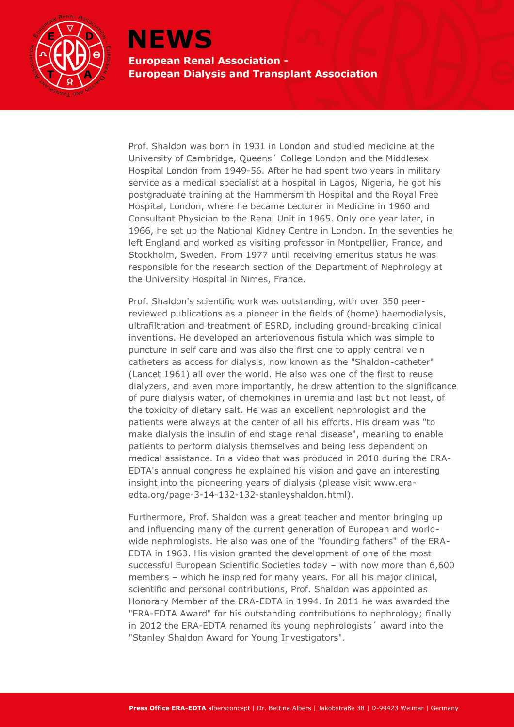

## **NEWS**

**European Renal Association -European Dialysis and Transplant Association** 

Prof. Shaldon was born in 1931 in London and studied medicine at the University of Cambridge, Queens´ College London and the Middlesex Hospital London from 1949-56. After he had spent two years in military service as a medical specialist at a hospital in Lagos, Nigeria, he got his postgraduate training at the Hammersmith Hospital and the Royal Free Hospital, London, where he became Lecturer in Medicine in 1960 and Consultant Physician to the Renal Unit in 1965. Only one year later, in 1966, he set up the National Kidney Centre in London. In the seventies he left England and worked as visiting professor in Montpellier, France, and Stockholm, Sweden. From 1977 until receiving emeritus status he was responsible for the research section of the Department of Nephrology at the University Hospital in Nimes, France.

Prof. Shaldon's scientific work was outstanding, with over 350 peerreviewed publications as a pioneer in the fields of (home) haemodialysis, ultrafiltration and treatment of ESRD, including ground-breaking clinical inventions. He developed an arteriovenous fistula which was simple to puncture in self care and was also the first one to apply central vein catheters as access for dialysis, now known as the "Shaldon-catheter" (Lancet 1961) all over the world. He also was one of the first to reuse dialyzers, and even more importantly, he drew attention to the significance of pure dialysis water, of chemokines in uremia and last but not least, of the toxicity of dietary salt. He was an excellent nephrologist and the patients were always at the center of all his efforts. His dream was "to make dialysis the insulin of end stage renal disease", meaning to enable patients to perform dialysis themselves and being less dependent on medical assistance. In a video that was produced in 2010 during the ERA-EDTA's annual congress he explained his vision and gave an interesting insight into the pioneering years of dialysis (please visit www.eraedta.org/page-3-14-132-132-stanleyshaldon.html).

Furthermore, Prof. Shaldon was a great teacher and mentor bringing up and influencing many of the current generation of European and worldwide nephrologists. He also was one of the "founding fathers" of the ERA-EDTA in 1963. His vision granted the development of one of the most successful European Scientific Societies today – with now more than 6,600 members – which he inspired for many years. For all his major clinical, scientific and personal contributions, Prof. Shaldon was appointed as Honorary Member of the ERA-EDTA in 1994. In 2011 he was awarded the "ERA-EDTA Award" for his outstanding contributions to nephrology; finally in 2012 the ERA-EDTA renamed its young nephrologists´ award into the "Stanley Shaldon Award for Young Investigators".